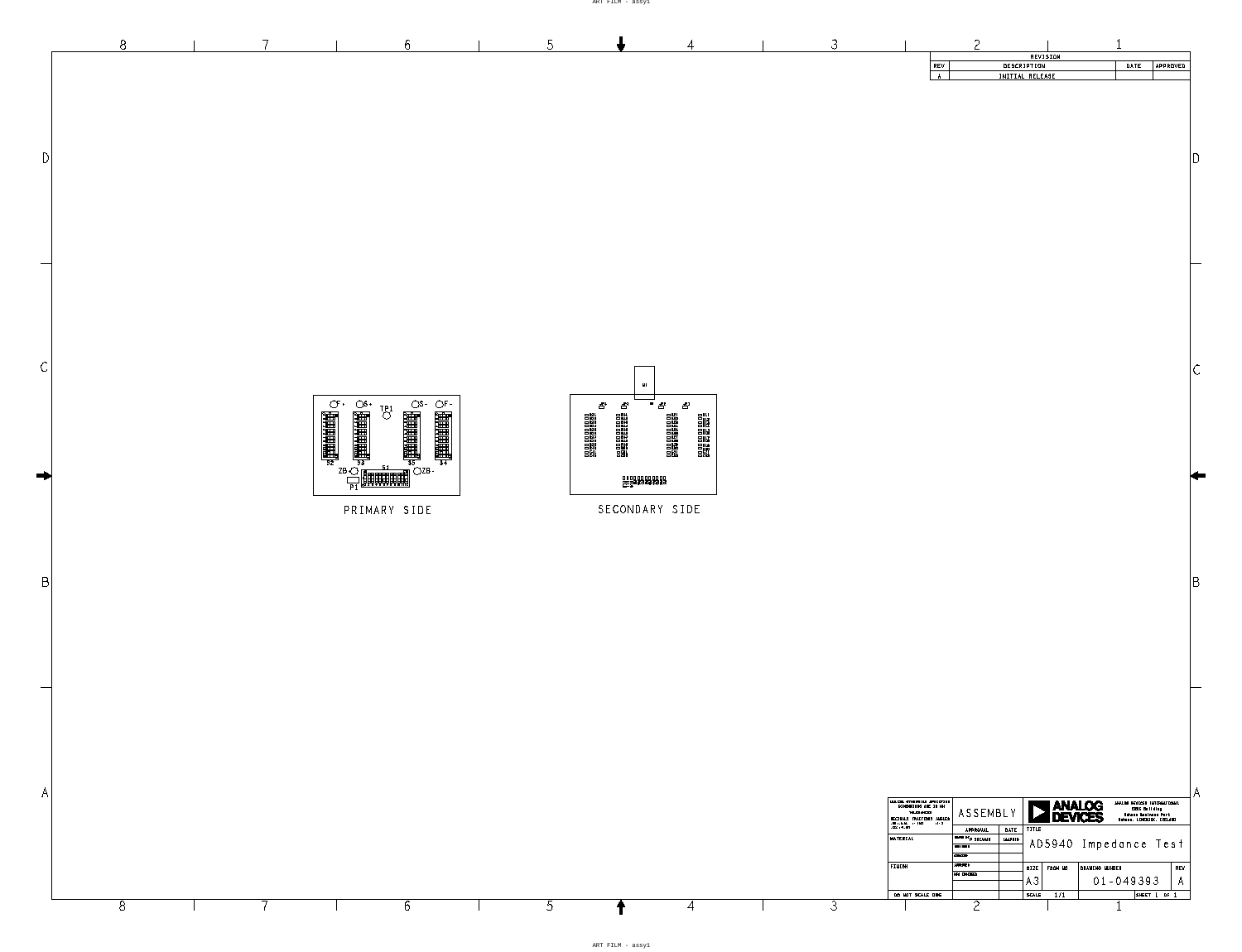|              | $8\,$ | 6 <sup>6</sup>                                                                                                                                                                                                                                                                                                                                                                                                                                                                        | $5\overline{)}$ | $\overline{4}$                                                                                                                                                                                                                                                                                                                                                                                                                                                                               | $\mathcal{S}$ | $\overline{c}$<br>REVISION<br>DESCRIPTION<br>DATE<br>APPROVED<br>REV<br>INITIAL RELEASE<br>A                                                                                                                                                                                                                                                                                                                                                         |
|--------------|-------|---------------------------------------------------------------------------------------------------------------------------------------------------------------------------------------------------------------------------------------------------------------------------------------------------------------------------------------------------------------------------------------------------------------------------------------------------------------------------------------|-----------------|----------------------------------------------------------------------------------------------------------------------------------------------------------------------------------------------------------------------------------------------------------------------------------------------------------------------------------------------------------------------------------------------------------------------------------------------------------------------------------------------|---------------|------------------------------------------------------------------------------------------------------------------------------------------------------------------------------------------------------------------------------------------------------------------------------------------------------------------------------------------------------------------------------------------------------------------------------------------------------|
|              |       |                                                                                                                                                                                                                                                                                                                                                                                                                                                                                       |                 |                                                                                                                                                                                                                                                                                                                                                                                                                                                                                              |               | $\begin{bmatrix} 1 \\ 2 \end{bmatrix}$                                                                                                                                                                                                                                                                                                                                                                                                               |
|              |       |                                                                                                                                                                                                                                                                                                                                                                                                                                                                                       |                 |                                                                                                                                                                                                                                                                                                                                                                                                                                                                                              |               |                                                                                                                                                                                                                                                                                                                                                                                                                                                      |
|              |       |                                                                                                                                                                                                                                                                                                                                                                                                                                                                                       | $\Box$          | $-M1$<br>$\overline{\bullet}$ $\overline{\bullet}$<br>$\Box$                                                                                                                                                                                                                                                                                                                                                                                                                                 |               | $\mathsf C$                                                                                                                                                                                                                                                                                                                                                                                                                                          |
|              |       | $\begin{tabular}{ c c c } \hline \multicolumn{1}{ c }{\textbf{0}} & \multicolumn{1}{ c }{\textbf{0}} & \multicolumn{1}{ c }{\textbf{0}} & \multicolumn{1}{ c }{\textbf{0}} & \multicolumn{1}{ c }{\textbf{0}} & \multicolumn{1}{ c }{\textbf{0}} & \multicolumn{1}{ c }{\textbf{0}} & \multicolumn{1}{ c }{\textbf{0}} & \multicolumn{1}{ c }{\textbf{0}} & \multicolumn{1}{ c }{\textbf{0}} & \multicolumn{1}{ c }{\textbf{0}} & \multicolumn{$<br><b>Endergroup</b><br>PRIMARY SIDE |                 | $\begin{array}{c} \text{1} \\ \text{2} \\ \text{3} \\ \text{4} \\ \text{5} \\ \text{6} \\ \text{7} \\ \text{8} \\ \text{9} \\ \text{10} \\ \text{11} \\ \text{12} \\ \text{13} \\ \text{14} \\ \text{15} \\ \text{16} \\ \text{17} \\ \text{18} \\ \text{19} \\ \text{19} \\ \text{10} \\ \text{11} \\ \text{12} \\ \text{13} \\ \text{14} \\ \text{15} \\ \text{16} \\ \text{17} \\ \text{18} \\ \text{19} \\ \text{19} \\ \text{19$<br><b>00000000000</b><br>00000000000<br>SECONDARY SIDE |               |                                                                                                                                                                                                                                                                                                                                                                                                                                                      |
| $\mathsf{R}$ |       |                                                                                                                                                                                                                                                                                                                                                                                                                                                                                       |                 |                                                                                                                                                                                                                                                                                                                                                                                                                                                                                              |               | $\vert B \vert$                                                                                                                                                                                                                                                                                                                                                                                                                                      |
|              |       |                                                                                                                                                                                                                                                                                                                                                                                                                                                                                       |                 |                                                                                                                                                                                                                                                                                                                                                                                                                                                                                              |               |                                                                                                                                                                                                                                                                                                                                                                                                                                                      |
|              |       |                                                                                                                                                                                                                                                                                                                                                                                                                                                                                       |                 |                                                                                                                                                                                                                                                                                                                                                                                                                                                                                              |               | A<br>UNLESS OTHERWISE SPECIFIED<br>DIMENSIONS ARE IN MM<br><b>EXAMALOG</b><br>DEVICES<br>ANALOG DEVICES INTERNATIONAL<br>ERDC Building<br>Raheen Business Park<br>Raheen, LIMERICK, IRELAND<br>ASSEMBL'<br><b>TOLERANCES</b>                                                                                                                                                                                                                         |
|              | $8\,$ | 6                                                                                                                                                                                                                                                                                                                                                                                                                                                                                     | $5\overline{)}$ | $\overline{4}$<br>↑                                                                                                                                                                                                                                                                                                                                                                                                                                                                          | $\mathcal{S}$ | DECIMALS FRACTIONS ANGLES<br>xx $\rightarrow$ 0.25 $\rightarrow$ 1/32 $\rightarrow$ -2<br>xxx $\rightarrow$ 0.127<br>APPROVAL DATE<br>TITLE<br>DRAWN BY <sub>P</sub> SHEAHAN 18APR18<br>MATERIAL<br>AD5940 Impedance Test<br><b>DESIGNED</b><br>CHECKED<br>APPROVED<br>FINISH<br>DRAWING NUMBER<br>SIZE FSCM NO<br>REV<br>MEG ENGINEER<br>$01 - 049393$<br>AЗ<br>$\mathsf{A}$<br>DO NOT SCALE DWG<br>$SCALE$ $1/1$<br>SHEET 1 OF 1<br>$\overline{2}$ |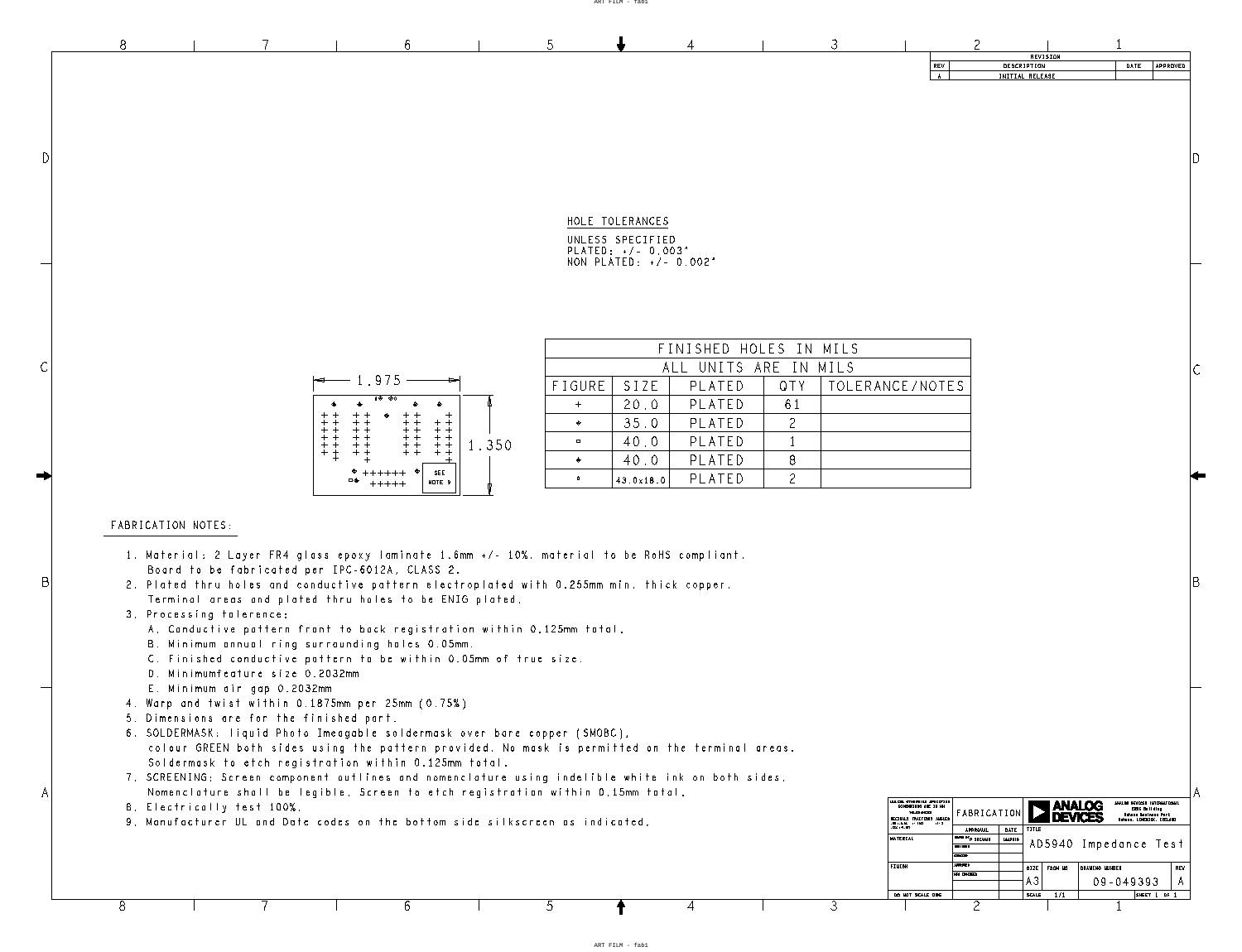ART FILM - fab1

ART FILM - fab1



3

4

| FINISHED HOLES IN MILS |           |        |      |             |  |
|------------------------|-----------|--------|------|-------------|--|
| ALL UNITS ARE IN MILS  |           |        |      |             |  |
| FIGURE                 | S17F      | PLATED | OTY. | TOLERANCE/N |  |
| $+$                    | 20.0      | PLATED | 61   |             |  |
| ◈                      | 35.0      | PLATED | 2    |             |  |
| $\Box$                 | 40.0      | PLATED |      |             |  |
| $\bullet$              | 40.0      | PLATED |      |             |  |
| $\mathbf{0}$           | 43.0x18.0 | PLATED |      |             |  |

HOLE TOLERANCES UNLESS SPECIFIED PLATED: +/- 0.003" NON PLATED: +/- 0.002"

5

|                                                                | .975<br>1                                                      |                                                                                                 |                                                                          |       |
|----------------------------------------------------------------|----------------------------------------------------------------|-------------------------------------------------------------------------------------------------|--------------------------------------------------------------------------|-------|
| ♠                                                              | 0 $\diamondsuit$<br>€                                          | $\otimes 0$                                                                                     | ♦                                                                        |       |
| $+$ $+$<br>$^{+}$<br>$^{+}$<br>$+$<br>+<br>+<br>$^+$<br>$^{+}$ | ♦<br>$^{+}$<br>$^{+}$<br>$^{+}$<br>$+$<br>$+$<br>$^{+}$<br>$+$ | $^{+}$<br>$+$<br>$+$<br>$+$<br>$^{+}$<br>$^{+}$<br>$^{+}$<br>$\,+\,$<br>$^{+}$<br>$+$<br>$^{+}$ | $^{+}$<br>$^{+}$<br>$^{+}$<br>$\pm$<br>$^{+}$<br>$^{+}$<br>$+$<br>$\, +$ | 1.350 |
|                                                                | ♦<br>$+++++$<br>□ <<br>$+++++$                                 | ۰                                                                                               | SEE<br>NOTE 9                                                            |       |

6

|                                                | 1. Material: 2 Layer FR4 glass epoxy laminate 1.6mm +/- 10%. material to be RoHS compliant. |
|------------------------------------------------|---------------------------------------------------------------------------------------------|
| Board to be fabricated per IPC-6012A, CLASS 2. |                                                                                             |

- Terminal areas and plated thru holes to be ENIG plated. 2. Plated thru holes and conductive pattern electroplated with 0.255mm min. thick copper.
- 3. Processing tolerence:
	- A. Conductive pattern front to back registration within 0.125mm total.
	- B. Minimum annual ring surrounding holes 0.05mm.
	- C. Finished conductive pattern to be within 0.05mm of true size.
	- D. Minimumfeature size 0.2032mm
	- E. Minimum air gap 0.2032mm
- 4. Warp and twist within 0.1875mm per 25mm (0.75%)
- 5. Dimensions are for the finished part.

 $\sqrt{2}$ 

#### FABRICATION NOTES:

 $\bigcap$ 

 $\subset$ 

- 6. SOLDERMASK: liquid Photo Imeagable soldermask over bare copper (SMOBC),
- colour GREEN both sides using the pattern provided. No mask is permitted on the terminal areas. Soldermask to etch registration within 0.125mm total.
- Nomenclature shall be legible. Screen to etch registration within 0.15mm total. 7. SCREENING: Screen component outlines and nomenclature using indelible white ink on both sides.
- 8. Electrically test 100%.

9. Manufacturer UL and Date codes on the bottom side silkscreen as indicated.

8

B

A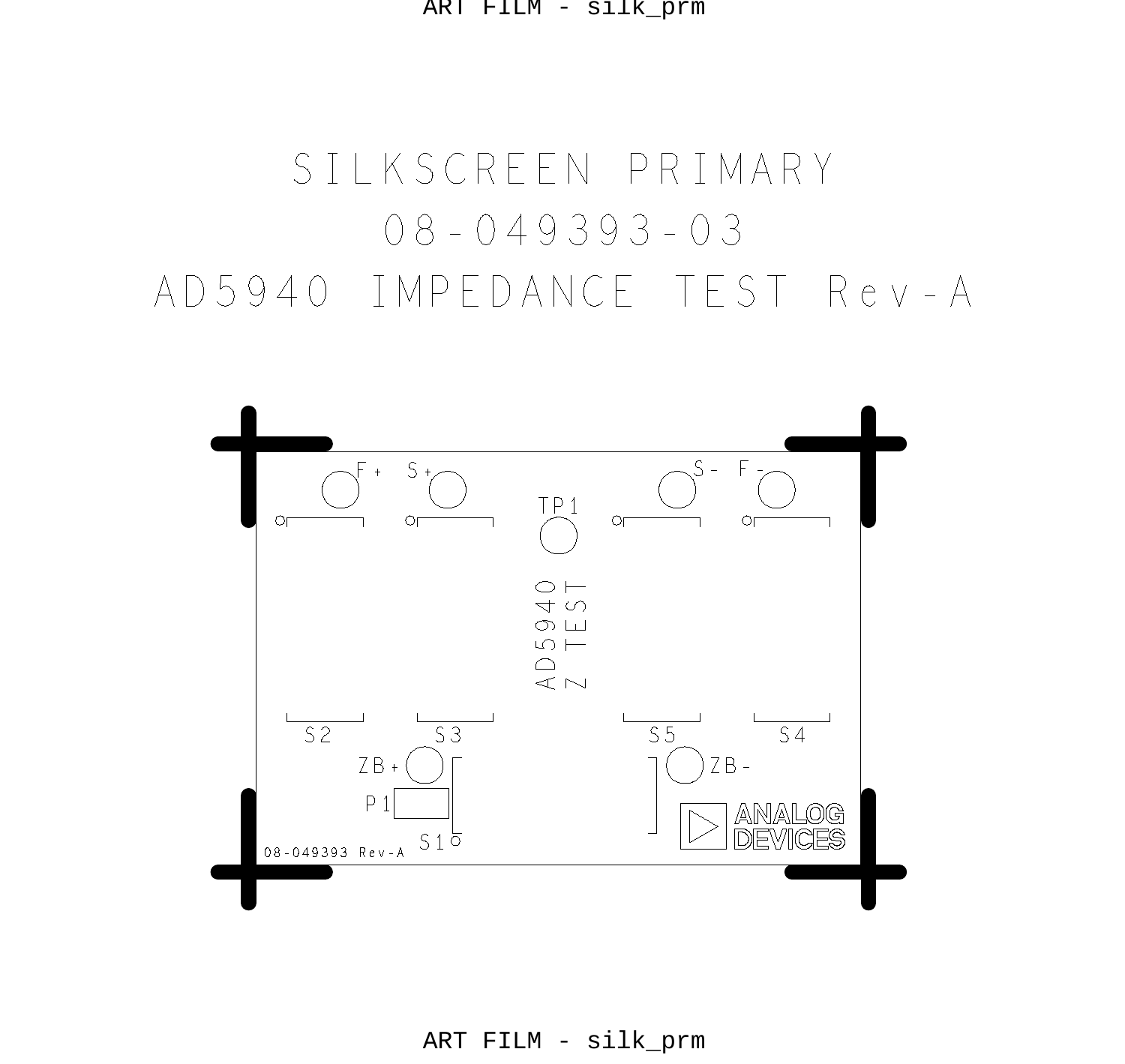ART FILM - silk\_prm

# 08 - 049393 - 03 SILKSCREEN PRIMARY AD5940 IMPEDANCE TEST Rev-A



ART FILM - silk\_prm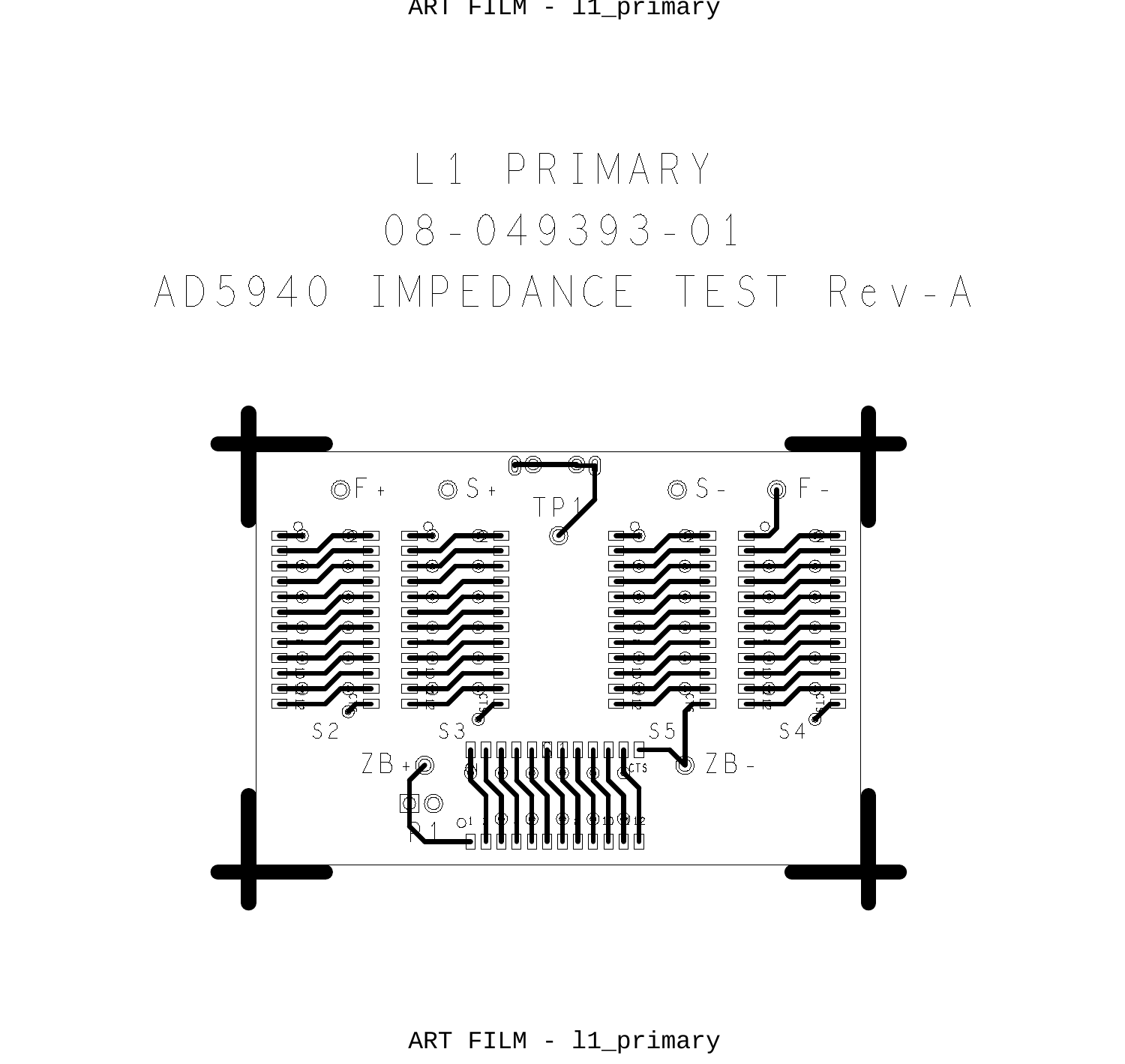ART FILM - l1\_primary

#### 08 - 049393 - 01 L1 PRIMARY AD5940 IMPEDANCE TEST Rev-A



ART FILM - l1\_primary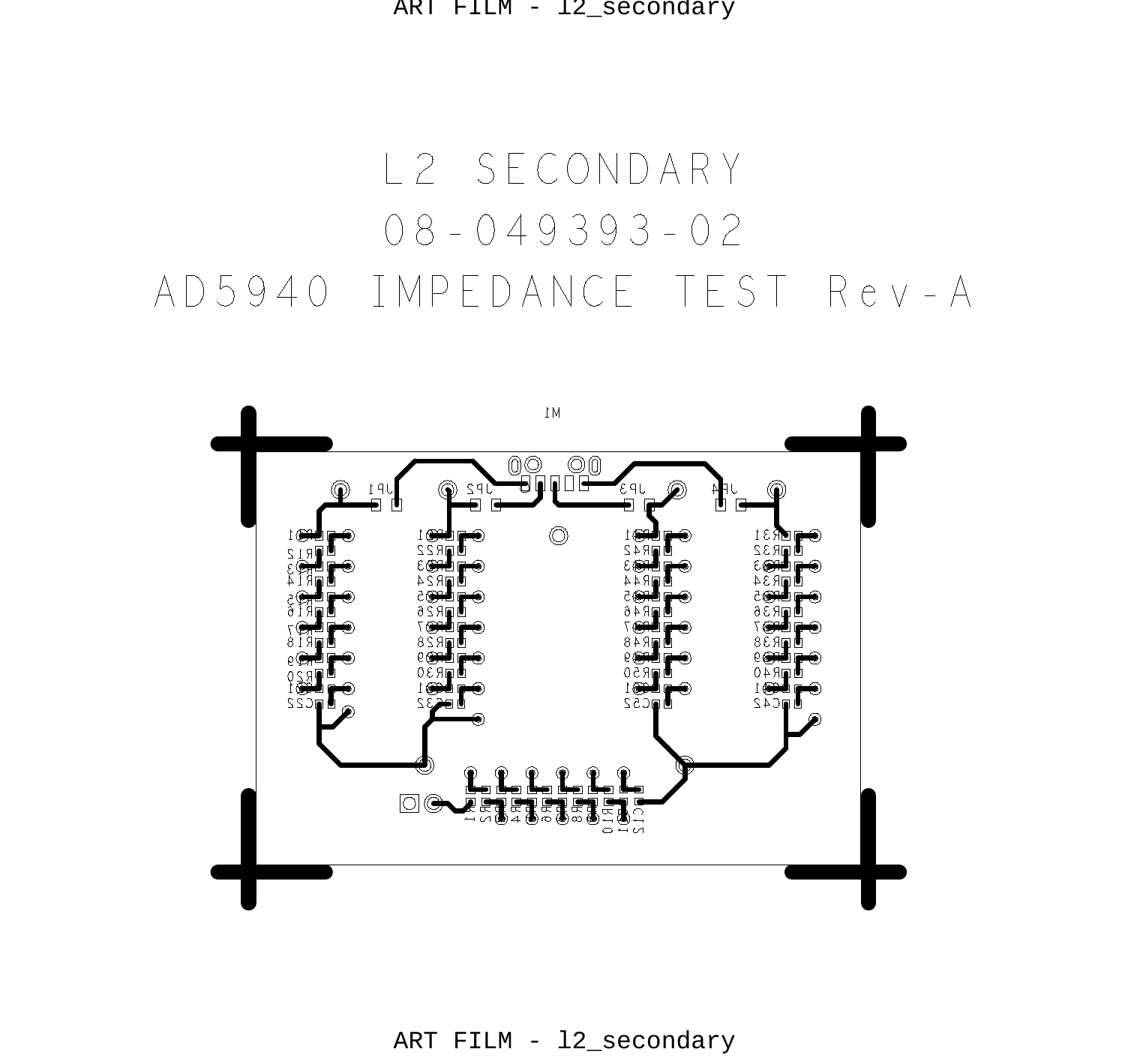ART FILM - l2\_secondary

# 08 - 049393 - 02 L2 SECONDARY AD5940 IMPEDANCE TEST Rev-A

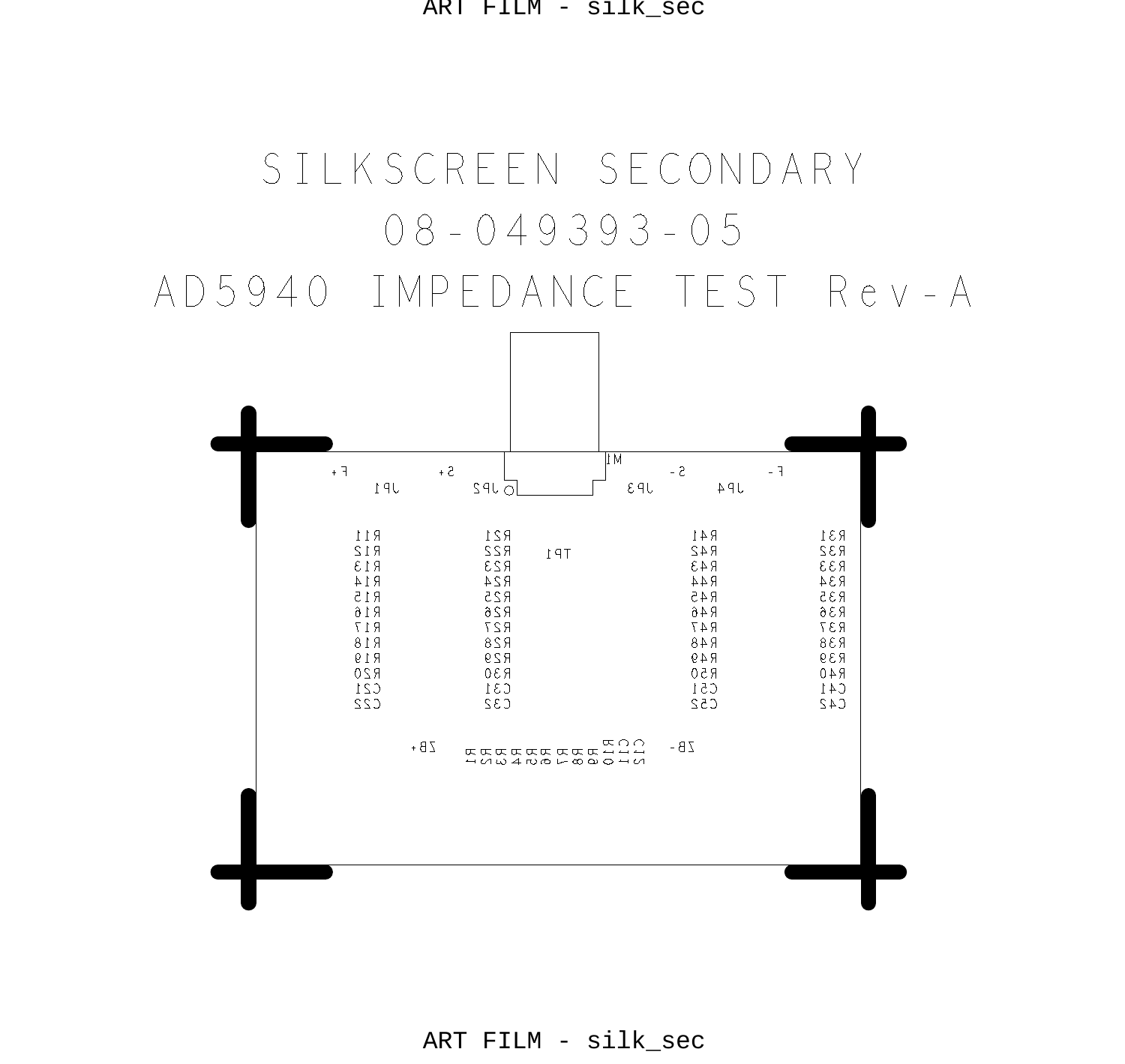ART FILM - silk\_sec



ART FILM - silk\_sec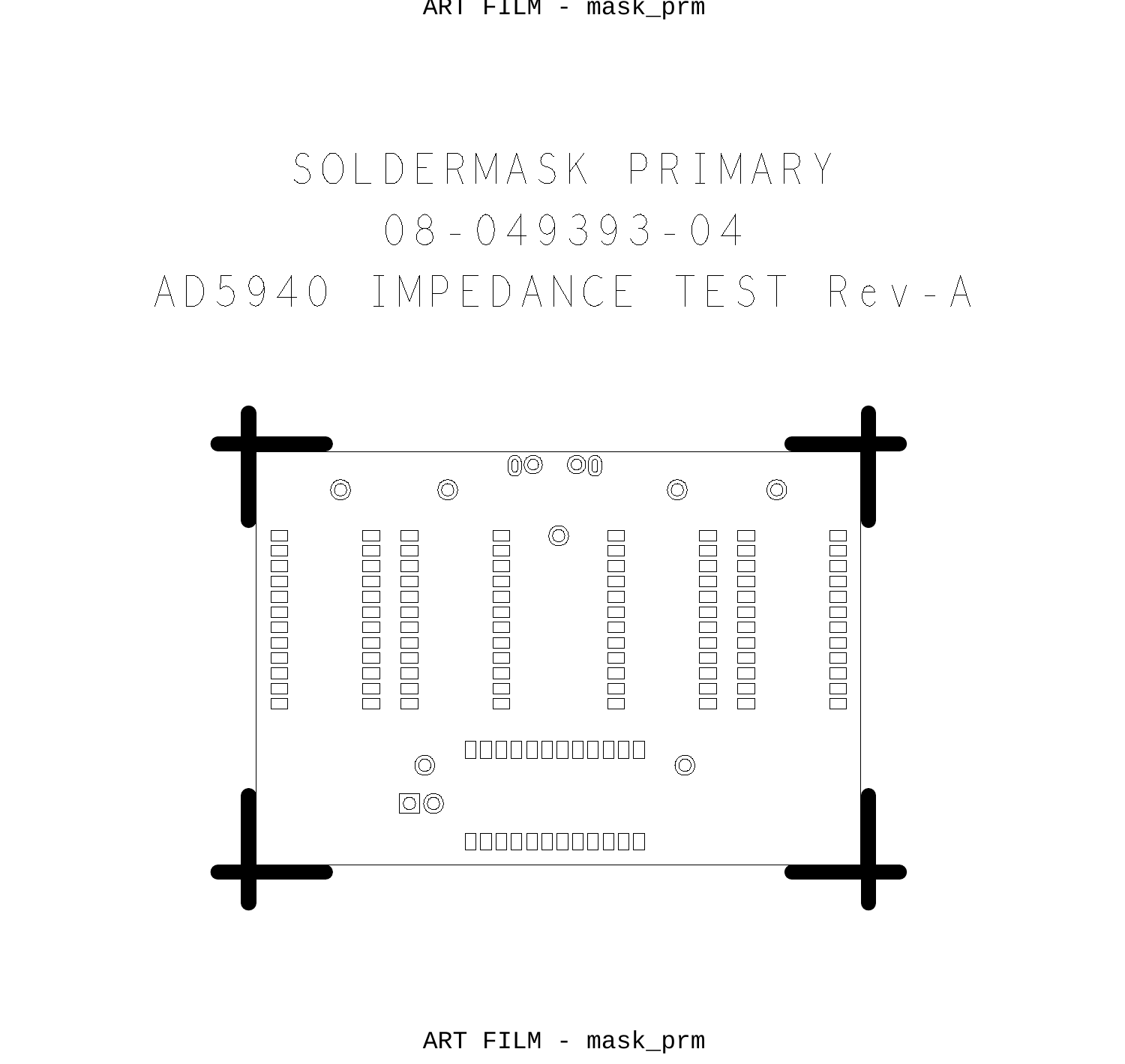# 08-049393-04 SOLDERMASK PRIMARY AD5940 IMPEDANCE TEST Rev-A



ART FILM - mask\_prm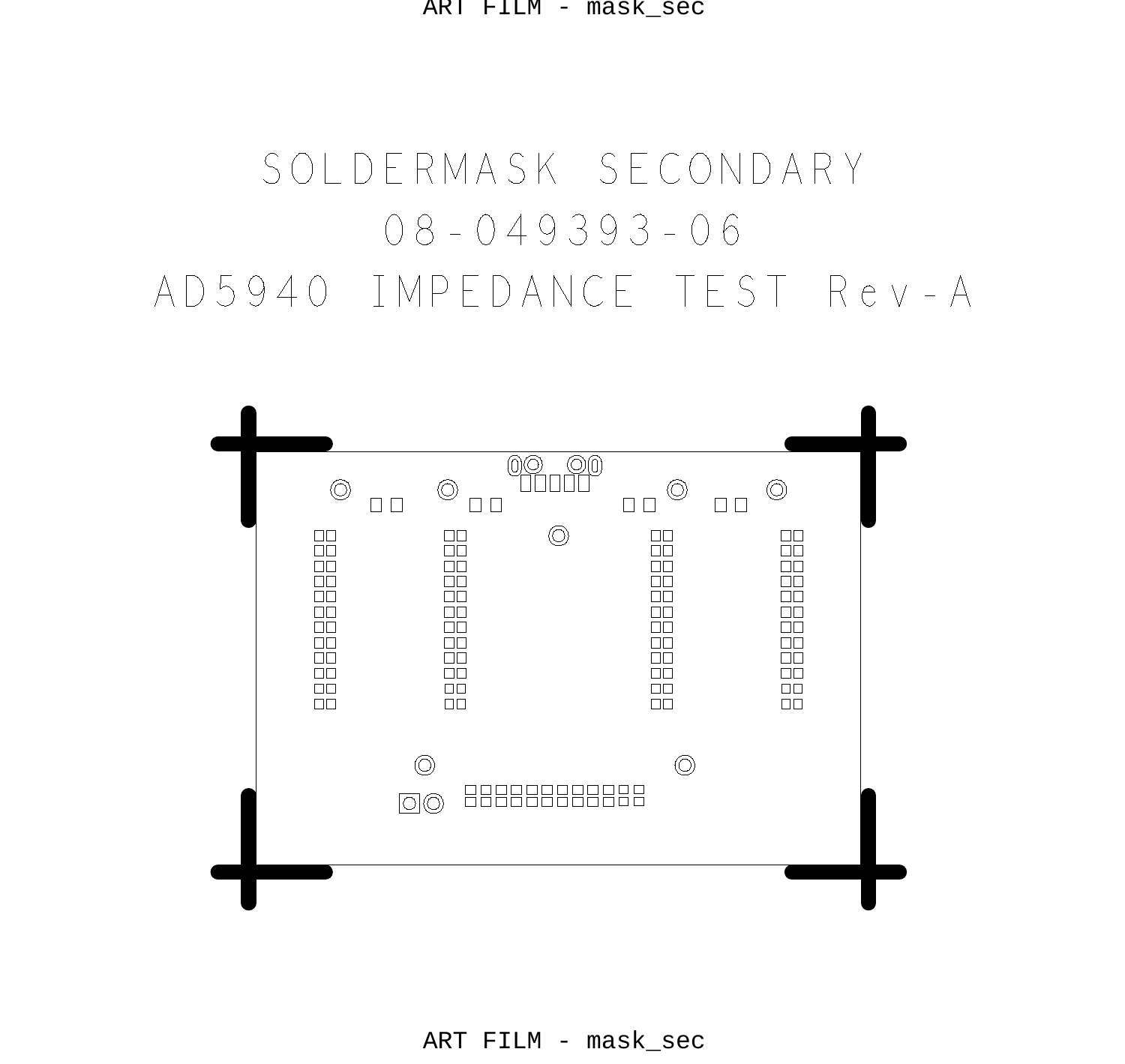ART FILM - mask\_sec

# 08-049393-06 SOLDERMASK SECONDARY AD5940 IMPEDANCE TEST Rev-A



ART FILM - mask\_sec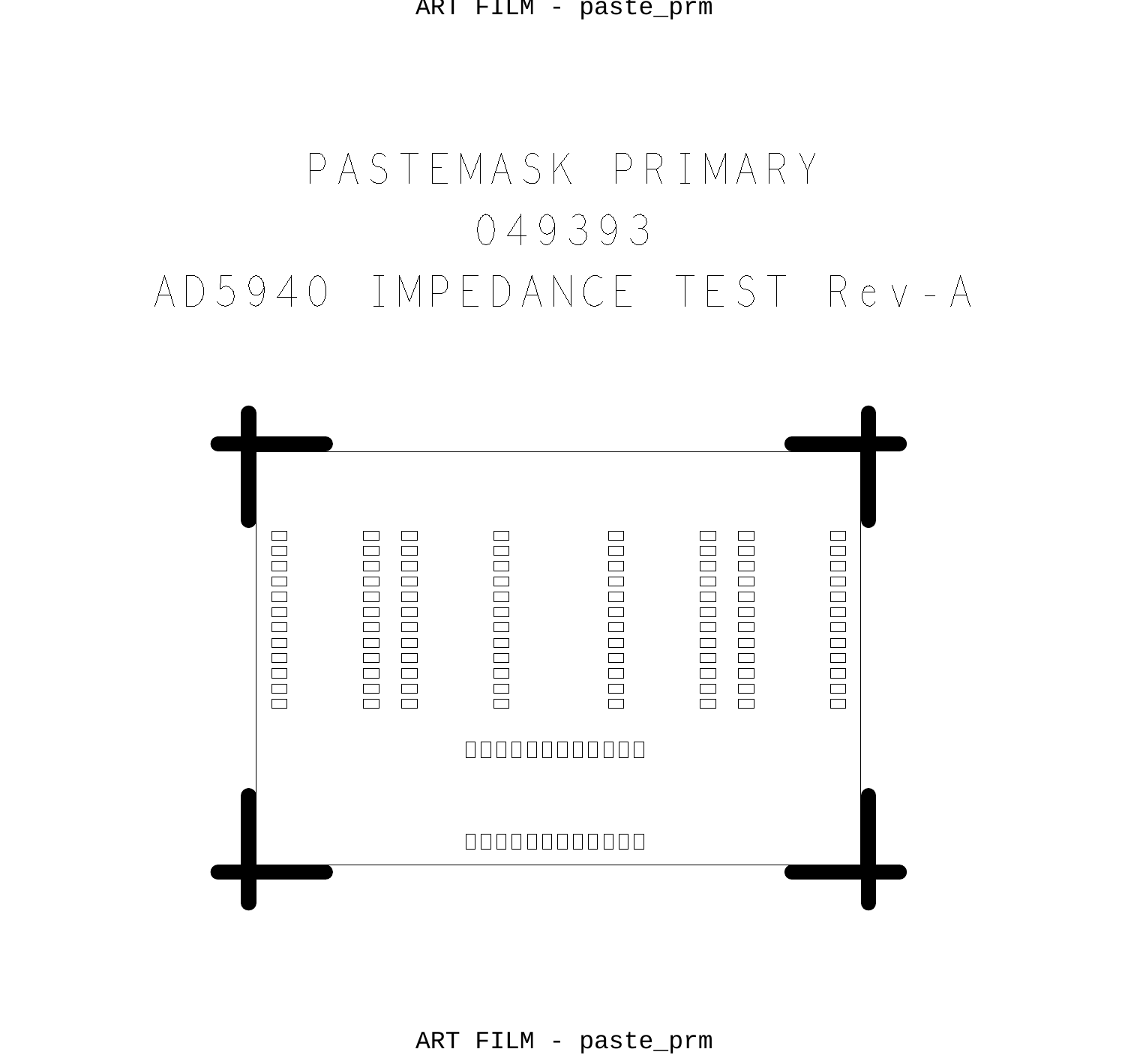ART FILM - paste\_prm

# 049393 PASTEMASK PRIMARY AD5940 IMPEDANCE TEST Rev-A

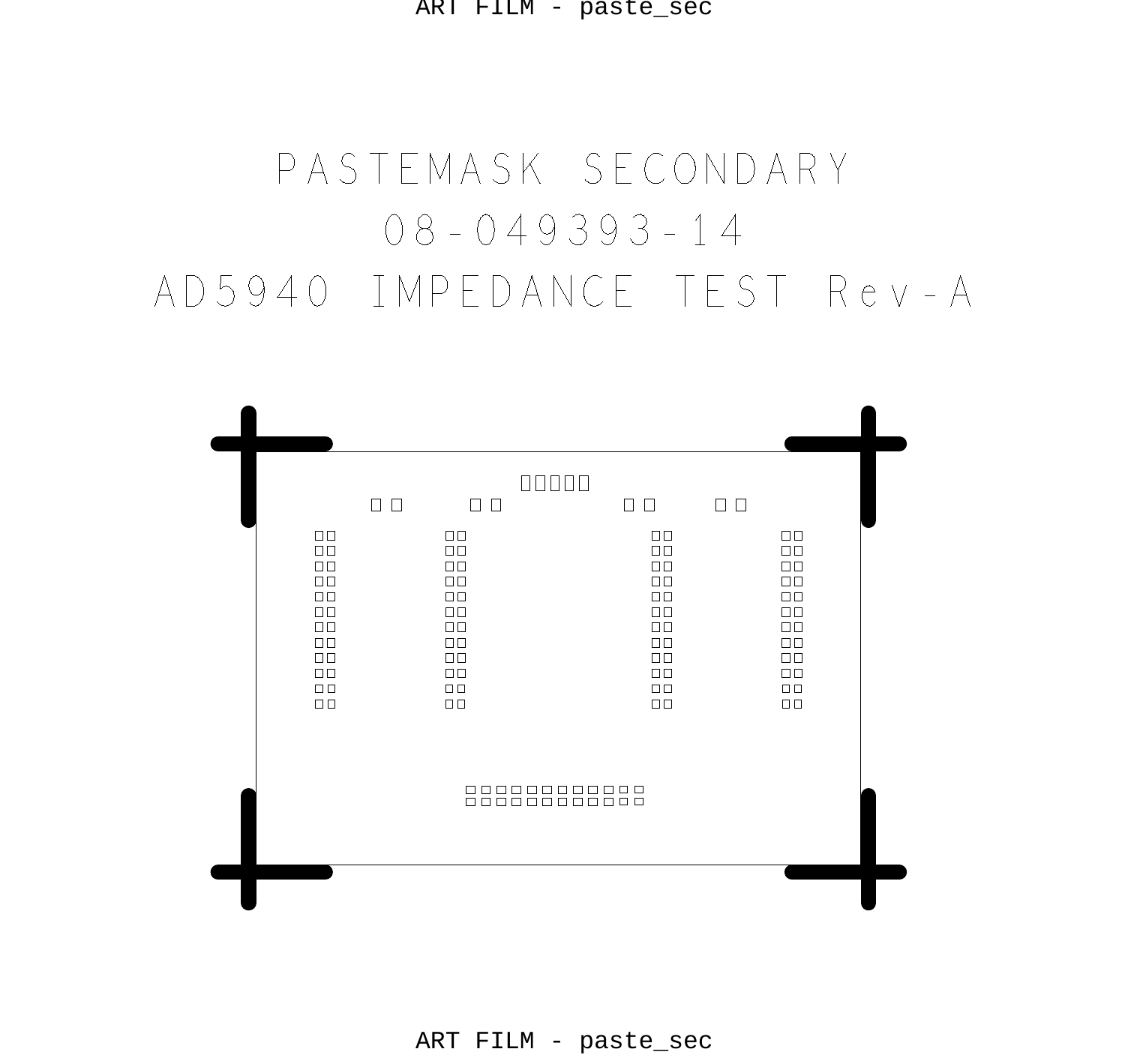ART FILM - paste\_sec

# $08 - 049393 - 14$ PASTEMASK SECONDARY AD5940 IMPEDANCE TEST Rev-A